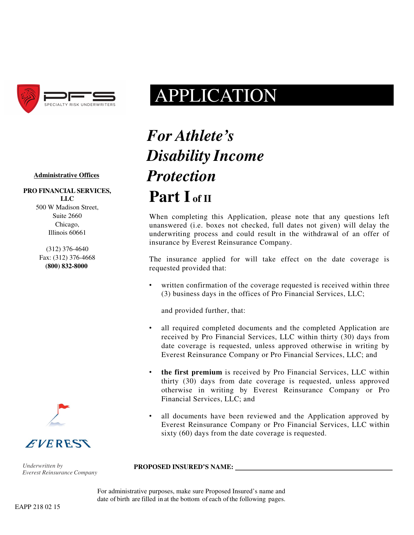

# APPLICATION

### **Administrative Offices**

**PRO FINANCIAL SERVICES, LLC** 500 W Madison Street, Suite 2660 Chicago, Illinois 60661

> (312) 376-4640 Fax: (312) 376-4668 **(800) 832-8000**



*Underwritten by Everest Reinsurance Company*

# *For Athlete's Disability Income Protection* Part L<sub>of II</sub>

When completing this Application, please note that any questions left unanswered (i.e. boxes not checked, full dates not given) will delay the underwriting process and could result in the withdrawal of an offer of insurance by Everest Reinsurance Company.

The insurance applied for will take effect on the date coverage is requested provided that:

written confirmation of the coverage requested is received within three (3) business days in the offices of Pro Financial Services, LLC;

and provided further, that:

- all required completed documents and the completed Application are received by Pro Financial Services, LLC within thirty (30) days from date coverage is requested, unless approved otherwise in writing by Everest Reinsurance Company or Pro Financial Services, LLC; and
- **the first premium** is received by Pro Financial Services, LLC within thirty (30) days from date coverage is requested, unless approved otherwise in writing by Everest Reinsurance Company or Pro Financial Services, LLC; and
- all documents have been reviewed and the Application approved by Everest Reinsurance Company or Pro Financial Services, LLC within sixty (60) days from the date coverage is requested.

**PROPOSED INSURED'S NAME:** 

For administrative purposes, make sure Proposed Insured's name and date of birth are filled in at the bottom of each of the following pages.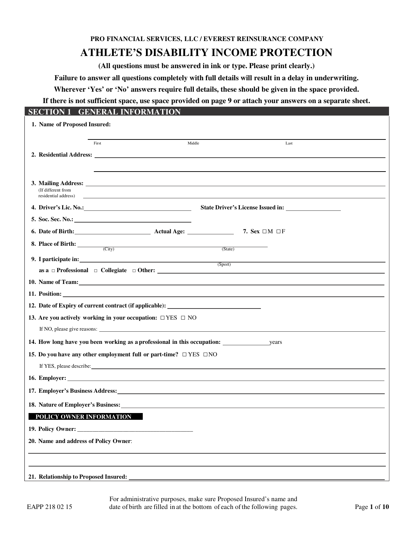**PRO FINANCIAL SERVICES, LLC / EVEREST REINSURANCE COMPANY**

## **ATHLETE'S DISABILITY INCOME PROTECTION**

**(All questions must be answered in ink or type. Please print clearly.)** 

**Failure to answer all questions completely with full details will result in a delay in underwriting.** 

**Wherever 'Yes' or 'No' answers require full details, these should be given in the space provided.** 

**If there is not sufficient space, use space provided on page 9 or attach your answers on a separate sheet.** 

| I SEC<br>1                                                                         | <b>GENERAL INFORMATION</b>             |                                                                                                                                                                                                                                |      |  |
|------------------------------------------------------------------------------------|----------------------------------------|--------------------------------------------------------------------------------------------------------------------------------------------------------------------------------------------------------------------------------|------|--|
| 1. Name of Proposed Insured:                                                       |                                        |                                                                                                                                                                                                                                |      |  |
|                                                                                    | First                                  | Middle                                                                                                                                                                                                                         | Last |  |
|                                                                                    |                                        |                                                                                                                                                                                                                                |      |  |
|                                                                                    |                                        |                                                                                                                                                                                                                                |      |  |
|                                                                                    |                                        |                                                                                                                                                                                                                                |      |  |
| (If different from<br>residential address)                                         |                                        |                                                                                                                                                                                                                                |      |  |
|                                                                                    |                                        |                                                                                                                                                                                                                                |      |  |
|                                                                                    |                                        |                                                                                                                                                                                                                                |      |  |
|                                                                                    |                                        | 6. Date of Birth: <b>Actual Age:</b> Actual Age: 7. Sex □M □F                                                                                                                                                                  |      |  |
|                                                                                    | 8. Place of Birth: $\frac{C(y)}{C(y)}$ | (State)                                                                                                                                                                                                                        |      |  |
|                                                                                    |                                        |                                                                                                                                                                                                                                |      |  |
|                                                                                    |                                        | (Sport)                                                                                                                                                                                                                        |      |  |
|                                                                                    |                                        | 10. Name of Team: 10. Name of Team:                                                                                                                                                                                            |      |  |
|                                                                                    |                                        |                                                                                                                                                                                                                                |      |  |
|                                                                                    |                                        | 12. Date of Expiry of current contract (if applicable): ________________________                                                                                                                                               |      |  |
| 13. Are you actively working in your occupation: $\Box$ YES $\Box$ NO              |                                        |                                                                                                                                                                                                                                |      |  |
|                                                                                    |                                        |                                                                                                                                                                                                                                |      |  |
|                                                                                    |                                        |                                                                                                                                                                                                                                |      |  |
| 15. Do you have any other employment full or part-time? $\square$ YES $\square$ NO |                                        |                                                                                                                                                                                                                                |      |  |
|                                                                                    |                                        | If YES, please describe: University of the state of the state of the state of the state of the state of the state of the state of the state of the state of the state of the state of the state of the state of the state of t |      |  |
|                                                                                    |                                        |                                                                                                                                                                                                                                |      |  |
|                                                                                    |                                        | 17. Employer's Business Address: Universe of the Second Second Second Second Second Second Second Second Second Second Second Second Second Second Second Second Second Second Second Second Second Second Second Second Secon |      |  |
|                                                                                    |                                        |                                                                                                                                                                                                                                |      |  |
| POLICY OWNER INFORMATION                                                           |                                        |                                                                                                                                                                                                                                |      |  |
|                                                                                    |                                        |                                                                                                                                                                                                                                |      |  |
| 20. Name and address of Policy Owner:                                              |                                        |                                                                                                                                                                                                                                |      |  |
|                                                                                    |                                        |                                                                                                                                                                                                                                |      |  |
|                                                                                    |                                        |                                                                                                                                                                                                                                |      |  |
|                                                                                    |                                        |                                                                                                                                                                                                                                |      |  |

For administrative purposes, make sure Proposed Insured's name and EAPP 218 02 15 date of birth are filled in at the bottom of each of the following pages. Page **1** of **10**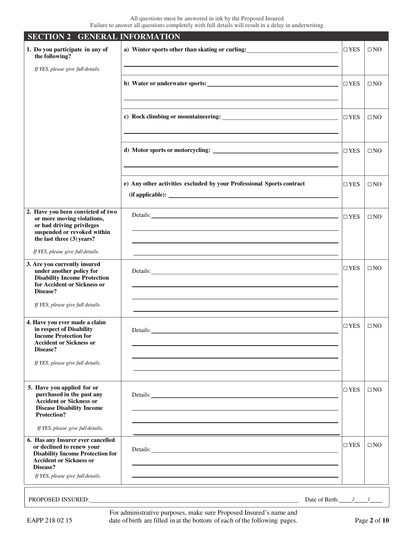| <b>SECTION 2 GENERAL INFORMATION</b>                                                                                                                                                         |                                                                                                                         |            |              |
|----------------------------------------------------------------------------------------------------------------------------------------------------------------------------------------------|-------------------------------------------------------------------------------------------------------------------------|------------|--------------|
| 1. Do you participate in any of<br>the following?                                                                                                                                            | a) Winter sports other than skating or curling:                                                                         | $\Box$ YES | $\square$ NO |
| If YES, please give full details.                                                                                                                                                            | the control of the control of the control of the control of the control of the control of the control of the control of |            |              |
|                                                                                                                                                                                              | b) Water or underwater sports:                                                                                          | $\Box$ YES | $\square$ NO |
|                                                                                                                                                                                              |                                                                                                                         |            |              |
|                                                                                                                                                                                              |                                                                                                                         | $\Box$ YES | $\square$ NO |
|                                                                                                                                                                                              |                                                                                                                         | $\Box$ YES | $\square$ NO |
|                                                                                                                                                                                              | e) Any other activities excluded by your Professional Sports contract                                                   | $\Box$ YES | $\square$ NO |
|                                                                                                                                                                                              |                                                                                                                         |            |              |
| 2. Have you been convicted of two<br>or more moving violations,<br>or had driving privileges<br>suspended or revoked within<br>the last three (3) years?                                     | Details: <u>Details:</u> 2014                                                                                           |            | $\square$ NO |
| If YES, please give full details.                                                                                                                                                            |                                                                                                                         |            |              |
| 3. Are you currently insured<br>under another policy for<br><b>Disability Income Protection</b><br>for Accident or Sickness or<br>Disease?                                                   | Details:                                                                                                                | $\Box$ YES | $\square$ NO |
| If YES, please give full details.                                                                                                                                                            |                                                                                                                         |            |              |
| 4. Have you ever made a claim<br>in respect of Disability<br><b>Income Protection for</b><br><b>Accident or Sickness or</b><br>Disease?                                                      | Details:                                                                                                                | $\Box$ YES | $\square$ NO |
| If YES, please give full details.                                                                                                                                                            |                                                                                                                         |            |              |
| 5. Have you applied for or<br>purchased in the past any<br><b>Accident or Sickness or</b><br><b>Disease Disability Income</b><br><b>Protection?</b>                                          | Details:                                                                                                                | $\Box$ YES | $\square$ NO |
| If YES, please give full details.                                                                                                                                                            |                                                                                                                         |            |              |
| 6. Has any Insurer ever cancelled<br>or declined to renew your<br><b>Disability Income Protection for</b><br><b>Accident or Sickness or</b><br>Disease?<br>If YES, please give full details. | Details:                                                                                                                | $\Box$ YES | $\square$ NO |
|                                                                                                                                                                                              |                                                                                                                         |            |              |

PROPOSED INSURED: Date of Birth: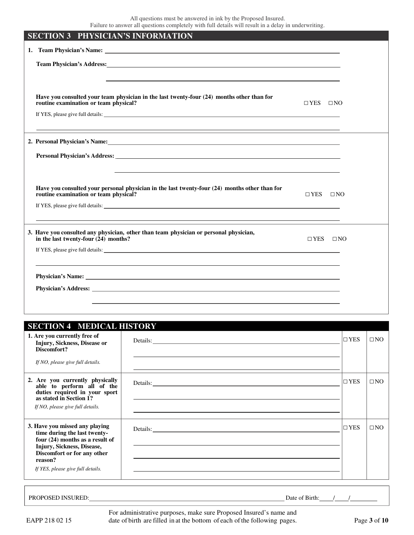| <b>SECTION 3 PHYSICIAN'S INFORMATION</b>                                                                                                                                                                                       |           |
|--------------------------------------------------------------------------------------------------------------------------------------------------------------------------------------------------------------------------------|-----------|
|                                                                                                                                                                                                                                |           |
| Team Physician's Address: University of the Contract of the Contract of the Contract of the Contract of the Contract of the Contract of the Contract of the Contract of the Contract of the Contract of the Contract of the Co |           |
|                                                                                                                                                                                                                                |           |
| Have you consulted your team physician in the last twenty-four (24) months other than for<br>routine examination or team physical?<br>$\Box$ YES $\Box$ NO                                                                     |           |
|                                                                                                                                                                                                                                |           |
|                                                                                                                                                                                                                                |           |
| 2. Personal Physician's Name: Letter and the set of the set of the set of the set of the set of the set of the set of the set of the set of the set of the set of the set of the set of the set of the set of the set of the s |           |
|                                                                                                                                                                                                                                |           |
|                                                                                                                                                                                                                                |           |
| Have you consulted your personal physician in the last twenty-four (24) months other than for<br>routine examination or team physical?<br>$\Box$ YES                                                                           | $\Box$ NO |
|                                                                                                                                                                                                                                |           |
|                                                                                                                                                                                                                                |           |
| 3. Have you consulted any physician, other than team physician or personal physician,<br>in the last twenty-four $(24)$ months?<br>$\Box$ YES                                                                                  | $\Box$ NO |
|                                                                                                                                                                                                                                |           |
|                                                                                                                                                                                                                                |           |
|                                                                                                                                                                                                                                |           |
|                                                                                                                                                                                                                                |           |
|                                                                                                                                                                                                                                |           |

| <b>SECTION 4 MEDICAL HISTORY</b>                                                                                                                                                                                 |            |              |
|------------------------------------------------------------------------------------------------------------------------------------------------------------------------------------------------------------------|------------|--------------|
| 1. Are you currently free of<br>Injury, Sickness, Disease or<br>Discomfort?                                                                                                                                      | $\Box$ YES | $\square$ NO |
| If NO, please give full details.                                                                                                                                                                                 |            |              |
| 2. Are you currently physically<br>able to perform all of the<br>duties required in your sport<br>as stated in Section 1?<br>If NO, please give full details.                                                    | $\Box$ YES | $\Box$ NO    |
| 3. Have you missed any playing<br>time during the last twenty-<br>four $(24)$ months as a result of<br>Injury, Sickness, Disease,<br>Discomfort or for any other<br>reason?<br>If YES, please give full details. | $\Box$ YES | $\Box$ NO    |

PROPOSED INSURED: Date of Birth: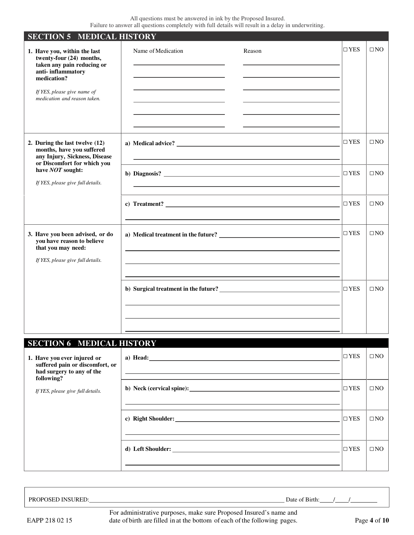| <b>SECTION 5 MEDICAL HISTORY</b>                                                                                                                                                          |                                                                                                                                                |               |              |
|-------------------------------------------------------------------------------------------------------------------------------------------------------------------------------------------|------------------------------------------------------------------------------------------------------------------------------------------------|---------------|--------------|
| 1. Have you, within the last<br>twenty-four (24) months,<br>taken any pain reducing or<br>anti-inflammatory<br>medication?<br>If YES, please give name of<br>medication and reason taken. | Name of Medication<br>Reason                                                                                                                   | $\Box$ YES    | $\square$ NO |
| 2. During the last twelve (12)<br>months, have you suffered<br>any Injury, Sickness, Disease<br>or Discomfort for which you                                                               |                                                                                                                                                | $\Box$ YES    | $\square$ NO |
| have NOT sought:<br>If YES, please give full details.                                                                                                                                     |                                                                                                                                                | $\Box$ YES    | $\square$ NO |
|                                                                                                                                                                                           | c) Treatment? $\qquad \qquad$                                                                                                                  | $\Box$ YES    | $\square$ NO |
| 3. Have you been advised, or do<br>you have reason to believe<br>that you may need:<br>If YES, please give full details.                                                                  |                                                                                                                                                | $\Box$ YES    | $\square$ NO |
|                                                                                                                                                                                           | b) Surgical treatment in the future?<br><u> and</u> the surgical treatment in the future?<br><u> and the surgical treatment</u> in the future? | $\Box$ YES    | $\square$ NO |
| <b>SECTION 6 MEDICAL HISTORY</b>                                                                                                                                                          |                                                                                                                                                |               |              |
| 1. Have you ever injured or<br>suffered pain or discomfort, or<br>had surgery to any of the<br>following?                                                                                 | a) Head: $\overline{\phantom{a}}$                                                                                                              | $\square$ YES | $\Box$ NO    |
| If YES, please give full details.                                                                                                                                                         |                                                                                                                                                | $\square$ YES | $\square$ NO |

**c) Right Shoulder:** □ YES □ NO

**d) Left Shoulder:** □ YES □ NO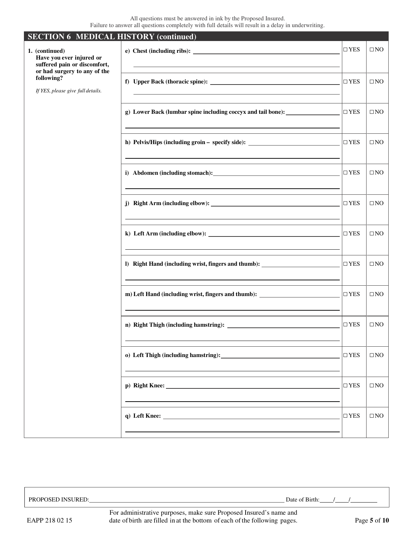| <b>SECTION 6 MEDICAL HISTORY (continued)</b>                                                               |                                                                                         |            |              |
|------------------------------------------------------------------------------------------------------------|-----------------------------------------------------------------------------------------|------------|--------------|
| 1. (continued)<br>Have you ever injured or<br>suffered pain or discomfort,<br>or had surgery to any of the | <u> 1980 - Johann Barnett, fransk politik (d. 1980)</u>                                 | $\Box$ YES | $\square$ NO |
| following?<br>If YES, please give full details.                                                            | f) Upper Back (thoracic spine):                                                         | $\Box$ YES | $\square$ NO |
|                                                                                                            | g) Lower Back (lumbar spine including coccyx and tail bone): ___________________        | $\Box$ YES | $\square$ NO |
|                                                                                                            | h) Pelvis/Hips (including groin - specify side): _______________________________        | $\Box$ YES | $\square$ NO |
|                                                                                                            |                                                                                         | $\Box$ YES | $\square$ NO |
|                                                                                                            |                                                                                         | $\Box$ YES | $\square$ NO |
|                                                                                                            |                                                                                         | $\Box$ YES | $\square$ NO |
|                                                                                                            | I) Right Hand (including wrist, fingers and thumb): ____________                        | $\Box$ YES | $\square$ NO |
|                                                                                                            | m) Left Hand (including wrist, fingers and thumb): _____________________________        | $\Box$ YES | $\square$ NO |
|                                                                                                            |                                                                                         | $\Box$ YES | $\square$ NO |
|                                                                                                            | o) Left Thigh (including hamstring): 1999. The Contract of Thigh (including hamstring): | $\Box$ YES | $\square$ NO |
|                                                                                                            |                                                                                         | $\Box$ YES | $\square$ NO |
|                                                                                                            | q) Left Knee: $\qquad \qquad$                                                           | $\Box$ YES | $\square$ NO |
|                                                                                                            |                                                                                         |            |              |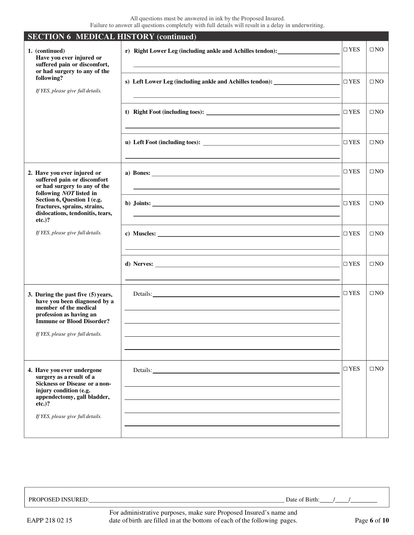| <b>SECTION 6 MEDICAL HISTORY (continued)</b>                                                                                                                                                              |                                                                                                                                                                                                                                |            |              |
|-----------------------------------------------------------------------------------------------------------------------------------------------------------------------------------------------------------|--------------------------------------------------------------------------------------------------------------------------------------------------------------------------------------------------------------------------------|------------|--------------|
| 1. (continued)<br>Have you ever injured or<br>suffered pain or discomfort,<br>or had surgery to any of the                                                                                                | r) Right Lower Leg (including ankle and Achilles tendon): ______________________<br><u> 1989 - Johann Stein, marwolaethau a bhann an t-Amhair an t-Amhair an t-Amhair an t-Amhair an t-Amhair an t-A</u>                       | $\Box$ YES | $\square$ NO |
| following?<br>If YES, please give full details.                                                                                                                                                           | s) Left Lower Leg (including ankle and Achilles tendon): _______________________                                                                                                                                               | $\Box$ YES | $\square$ NO |
|                                                                                                                                                                                                           |                                                                                                                                                                                                                                | $\Box$ YES | $\square$ NO |
|                                                                                                                                                                                                           |                                                                                                                                                                                                                                | $\Box$ YES | $\square$ NO |
| 2. Have you ever injured or<br>suffered pain or discomfort<br>or had surgery to any of the<br>following NOT listed in                                                                                     | a) Bones: $\qquad \qquad$                                                                                                                                                                                                      | $\Box$ YES | $\square$ NO |
| Section 6, Question 1 (e.g.<br>fractures, sprains, strains,<br>dislocations, tendonitis, tears,<br>$etc.$ )?                                                                                              |                                                                                                                                                                                                                                | $\Box$ YES | $\square$ NO |
| If YES, please give full details.                                                                                                                                                                         |                                                                                                                                                                                                                                | $\Box$ YES | $\square$ NO |
|                                                                                                                                                                                                           |                                                                                                                                                                                                                                | $\Box$ YES | $\square$ NO |
| 3. During the past five (5) years,<br>have you been diagnosed by a<br>member of the medical<br>profession as having an<br><b>Immune or Blood Disorder?</b><br>If YES, please give full details.           | Details: example and the contract of the contract of the contract of the contract of the contract of the contract of the contract of the contract of the contract of the contract of the contract of the contract of the contr | $\Box$ YES | $\square$ NO |
| 4. Have you ever undergone<br>surgery as a result of a<br><b>Sickness or Disease or a non-</b><br>injury condition (e.g.<br>appendectomy, gall bladder,<br>$etc.$ )?<br>If YES, please give full details. |                                                                                                                                                                                                                                | $\Box$ YES | $\square$ NO |

PROPOSED INSURED: Date of Birth: ////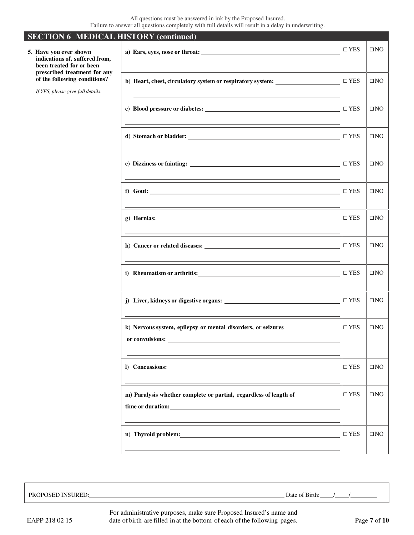| <b>SECTION 6 MEDICAL HISTORY (continued)</b>                                                      |                                                                                                                                                                                                                                |               |              |
|---------------------------------------------------------------------------------------------------|--------------------------------------------------------------------------------------------------------------------------------------------------------------------------------------------------------------------------------|---------------|--------------|
| 5. Have you ever shown<br>indications of, suffered from,<br>been treated for or been              |                                                                                                                                                                                                                                | $\Box$ YES    | $\square$ NO |
| prescribed treatment for any<br>of the following conditions?<br>If YES, please give full details. | b) Heart, chest, circulatory system or respiratory system:                                                                                                                                                                     | $\Box$ YES    | $\square$ NO |
|                                                                                                   |                                                                                                                                                                                                                                | $\Box$ YES    | $\square$ NO |
|                                                                                                   |                                                                                                                                                                                                                                | $\Box$ YES    | $\square$ NO |
|                                                                                                   |                                                                                                                                                                                                                                | $\Box$ YES    | $\square$ NO |
|                                                                                                   |                                                                                                                                                                                                                                | $\Box$ YES    | $\square$ NO |
|                                                                                                   | $g)$ Hernias: $\qquad \qquad$                                                                                                                                                                                                  | $\square$ YES | $\square$ NO |
|                                                                                                   |                                                                                                                                                                                                                                | $\Box$ YES    | $\square$ NO |
|                                                                                                   |                                                                                                                                                                                                                                | $\Box$ YES    | $\square$ NO |
|                                                                                                   |                                                                                                                                                                                                                                | $\Box$ YES    | $\square$ NO |
|                                                                                                   | k) Nervous system, epilepsy or mental disorders, or seizures<br>or convulsions:                                                                                                                                                | $\Box$ YES    | $\square$ NO |
|                                                                                                   | I) Concussions:                                                                                                                                                                                                                | $\Box$ YES    | $\square$ NO |
|                                                                                                   | m) Paralysis whether complete or partial, regardless of length of                                                                                                                                                              | $\Box$ YES    | $\square$ NO |
|                                                                                                   | n) Thyroid problem: Note that the set of the set of the set of the set of the set of the set of the set of the set of the set of the set of the set of the set of the set of the set of the set of the set of the set of the s | $\Box$ YES    | $\square$ NO |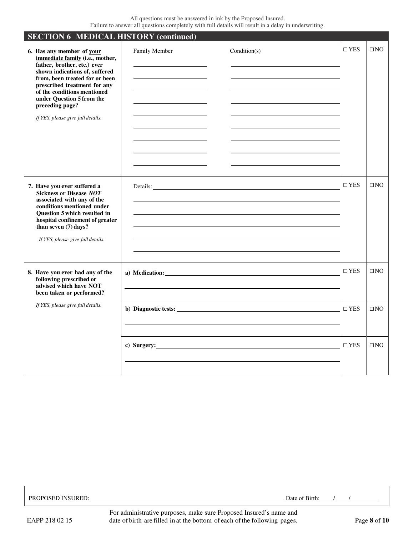| <b>SECTION 6 MEDICAL HISTORY (continued)</b>                                                                                                                                                                                                                                                                        |               |                      |               |              |
|---------------------------------------------------------------------------------------------------------------------------------------------------------------------------------------------------------------------------------------------------------------------------------------------------------------------|---------------|----------------------|---------------|--------------|
| 6. Has any member of your<br>immediate family (i.e., mother,<br>father, brother, etc.) ever<br>shown indications of, suffered<br>from, been treated for or been<br>prescribed treatment for any<br>of the conditions mentioned<br>under Question 5 from the<br>preceding page?<br>If YES, please give full details. | Family Member | Condition(s)         | $\square$ YES | $\square$ NO |
| 7. Have you ever suffered a<br><b>Sickness or Disease NOT</b><br>associated with any of the<br>conditions mentioned under<br>Question 5 which resulted in<br>hospital confinement of greater<br>than seven $(7)$ days?<br>If YES, please give full details.                                                         |               | Details:             | $\square$ YES | $\square$ NO |
| 8. Have you ever had any of the<br>following prescribed or<br>advised which have NOT<br>been taken or performed?                                                                                                                                                                                                    |               | a) Medication:       | $\square$ YES | $\square$ NO |
| If YES, please give full details.                                                                                                                                                                                                                                                                                   |               |                      | $\Box$ YES    | $\Box$ NO    |
|                                                                                                                                                                                                                                                                                                                     |               | c) Surgery: No. 2014 | $\square$ YES | $\square$ NO |

| <b>DD</b> |                |                                                                 |  |            |              |         | Date.<br>31rth |  |  |
|-----------|----------------|-----------------------------------------------------------------|--|------------|--------------|---------|----------------|--|--|
|           | $\blacksquare$ | $\mathbf{1}$ and $\mathbf{1}$ and $\mathbf{1}$ and $\mathbf{1}$ |  | $\sqrt{ }$ | $\mathbf{r}$ | $\cdot$ |                |  |  |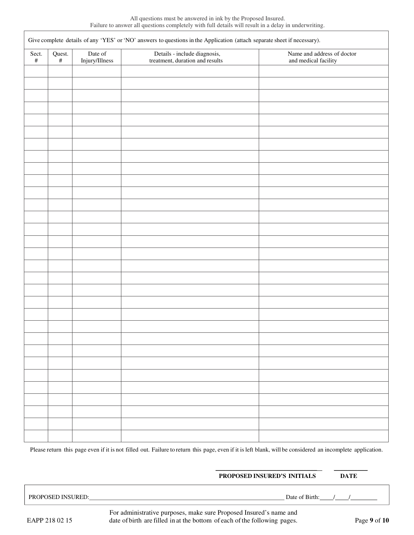| Sect.<br>$\#$ | Date of<br>Quest.<br>#<br>Injury/Illness | Name and address of doctor<br>and medical facility              |  |
|---------------|------------------------------------------|-----------------------------------------------------------------|--|
|               |                                          | Details - include diagnosis,<br>treatment, duration and results |  |
|               |                                          |                                                                 |  |
|               |                                          |                                                                 |  |
|               |                                          |                                                                 |  |
|               |                                          |                                                                 |  |
|               |                                          |                                                                 |  |
|               |                                          |                                                                 |  |
|               |                                          |                                                                 |  |
|               |                                          |                                                                 |  |
|               |                                          |                                                                 |  |
|               |                                          |                                                                 |  |
|               |                                          |                                                                 |  |
|               |                                          |                                                                 |  |
|               |                                          |                                                                 |  |
|               |                                          |                                                                 |  |
|               |                                          |                                                                 |  |
|               |                                          |                                                                 |  |
|               |                                          |                                                                 |  |
|               |                                          |                                                                 |  |
|               |                                          |                                                                 |  |
|               |                                          |                                                                 |  |
|               |                                          |                                                                 |  |
|               |                                          |                                                                 |  |
|               |                                          |                                                                 |  |
|               |                                          |                                                                 |  |
|               |                                          |                                                                 |  |
|               |                                          |                                                                 |  |
|               |                                          |                                                                 |  |
|               |                                          |                                                                 |  |
|               |                                          |                                                                 |  |
|               |                                          |                                                                 |  |
|               |                                          |                                                                 |  |
|               |                                          |                                                                 |  |
|               |                                          |                                                                 |  |
|               |                                          |                                                                 |  |
|               |                                          |                                                                 |  |
|               |                                          |                                                                 |  |

Please return this page even if it is not filled out. Failure to return this page, even if it is left blank, will be considered an incomplete application.

 $\overline{\phantom{a}}$  , and the contract of the contract of the contract of the contract of the contract of the contract of the contract of the contract of the contract of the contract of the contract of the contract of the contrac

### **PROPOSED INSURED'S INITIALS DATE**

PROPOSED INSURED: Date of Birth: / /